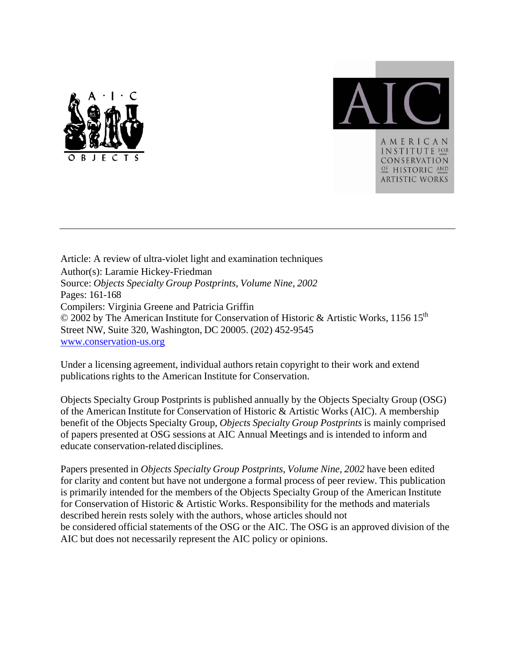



Article: A review of ultra-violet light and examination techniques Author(s): Laramie Hickey-Friedman Source: *Objects Specialty Group Postprints, Volume Nine, 2002* Pages: 161-168 Compilers: Virginia Greene and Patricia Griffin © 2002 by The American Institute for Conservation of Historic & Artistic Works, 1156 15<sup>th</sup> Street NW, Suite 320, Washington, DC 20005. (202) 452-9545 www.conservation-us.org

Under a licensing agreement, individual authors retain copyright to their work and extend publications rights to the American Institute for Conservation.

Objects Specialty Group Postprints is published annually by the Objects Specialty Group (OSG) of the American Institute for Conservation of Historic & Artistic Works (AIC). A membership benefit of the Objects Specialty Group, *Objects Specialty Group Postprints* is mainly comprised of papers presented at OSG sessions at AIC Annual Meetings and is intended to inform and educate conservation-related disciplines.

Papers presented in *Objects Specialty Group Postprints, Volume Nine, 2002* have been edited for clarity and content but have not undergone a formal process of peer review. This publication is primarily intended for the members of the Objects Specialty Group of the American Institute for Conservation of Historic & Artistic Works. Responsibility for the methods and materials described herein rests solely with the authors, whose articles should not be considered official statements of the OSG or the AIC. The OSG is an approved division of the AIC but does not necessarily represent the AIC policy or opinions.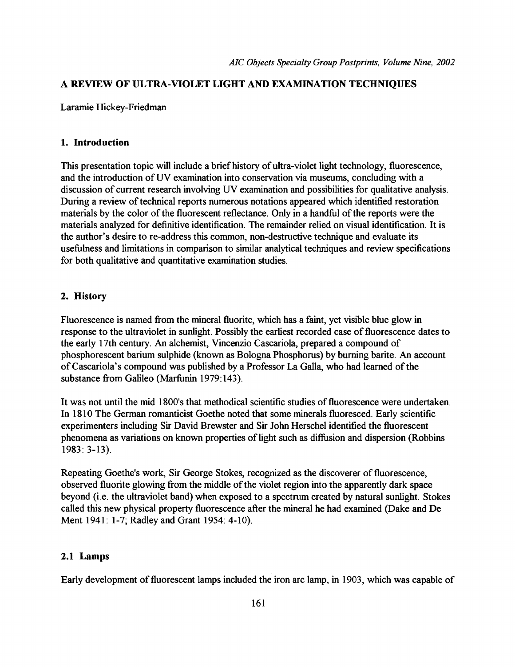# **A REVIEW OF ULTRA-VIOLET LIGHT AND EXAMINATION TECHNIQUES**

Laramie Hickey-Friedman

## **1. Introduction**

This presentation topic will include a brief history of ultra-violet light technology, fluorescence, and the introduction of UV examination into conservation via museums, concluding with a discussion of current research involving UV examination and possibilities for qualitative analysis. During a review of technical reports numerous notations appeared which identified restoration materials by the color of the fluorescent reflectance. Only in a handful of the reports were the materials analyzed for definitive identification. The remainder relied on visual identification. It is the author's desire to re-address this common, non-destructive technique and evaluate its usefulness and limitations in comparison to similar analytical techniques and review specifications for both qualitative and quantitative examination studies.

# **2. History**

Fluorescence is named from the mineral fluorite, which has a faint, yet visible blue glow in response to the ultraviolet in sunlight. Possibly the earliest recorded case of fluorescence dates to the early 17th century. An alchemist, Vincenzio Cascariola, prepared a compound of phosphorescent barium sulphide (known as Bologna Phosphorus) by burning barite. An account of Cascariola's compound was published by a Professor La Galla, who had learned of the substance from Galileo (Marfunin 1979:143).

It was not until the mid 1800's that methodical scientific studies of fluorescence were undertaken. In 1810 The German romanticist Goethe noted that some minerals fluoresced. Early scientific experimenters including Sir David Brewster and Sir John Herschel identified the fluorescent phenomena as variations on known properties of light such as diffusion and dispersion (Robbins 1983: 3-13).

Repeating Goethe's work, Sir George Stokes, recognized as the discoverer of fluorescence, observed fluorite glowing from the middle of the violet region into the apparently dark space beyond (i.e. the ultraviolet band) when exposed to a spectrum created by natural sunlight. Stokes called this new physical property fluorescence after the mineral he had examined (Dake and De Ment 1941: 1-7; Radley and Grant 1954: 4-10).

# **2.1 Lamps**

Early development of fluorescent lamps included the iron arc lamp, in 1903, which was capable of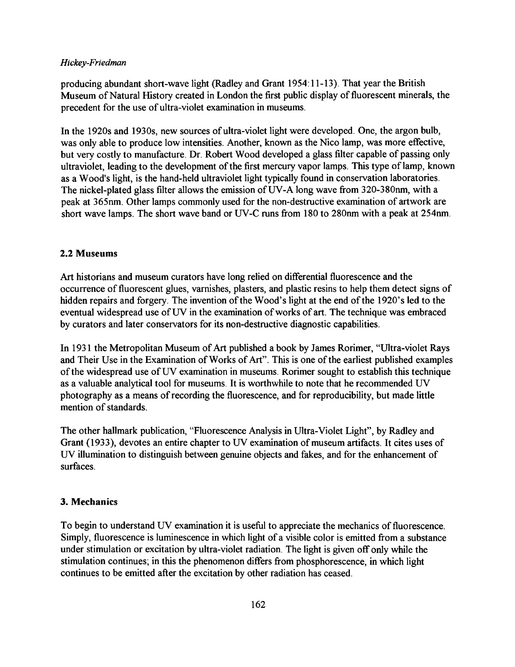producing abundant short-wave light (Radley and Grant 1954:11-13). That year the British Museum of Natural History created in London the first public display of fluorescent minerals, the precedent for the use of ultra-violet examination in museums.

In the 1920s and 1930s, new sources of ultra-violet light were developed. One, the argon bulb, was only able to produce low intensities. Another, known as the Nico lamp, was more effective, but very costly to manufacture. Dr. Robert Wood developed a glass filter capable of passing only ultraviolet, leading to the development of the first mercury vapor lamps. This type of lamp, known as a Wood's light, is the hand-held ultraviolet light typically found in conservation laboratories. The nickel-plated glass filter allows the emission of UV-A long wave from 320-380nm, with a peak at 365nm. Other lamps commonly used for the non-destructive examination of artwork are short wave lamps. The short wave band or UV-C runs from 180 to 280nm with a peak at 254nm.

# 2.2 Museums

Art historians and museum curators have long relied on differential fluorescence and the occurrence of fluorescent glues, varnishes, plasters, and plastic resins to help them detect signs of hidden repairs and forgery. The invention of the Wood's light at the end of the 1920's led to the eventual widespread use of UV in the examination of works of art. The technique was embraced by curators and later conservators for its non-destructive diagnostic capabilities.

In 1931 the Metropolitan Museum of Art published a book by James Rorimer, "Ultra-violet Rays and Their Use in the Examination of Works of Art". This is one of the earliest published examples of the widespread use of UV examination in museums. Rorimer sought to establish this technique as a valuable analytical tool for museums. It is worthwhile to note that he recommended UV photography as a means of recording the fluorescence, and for reproducibility, but made little mention of standards.

The other hallmark publication, "Fluorescence Analysis in Ultra-Violet Light", by Radley and Grant (1933), devotes an entire chapter to UV examination of museum artifacts. It cites uses of UV illumination to distinguish between genuine objects and fakes, and for the enhancement of surfaces.

# 3. Mechanics

To begin to understand UV examination it is useful to appreciate the mechanics of fluorescence. Simply, fluorescence is luminescence in which light of a visible color is emitted from a substance under stimulation or excitation by ultra-violet radiation. The light is given off only while the stimulation continues; in this the phenomenon differs from phosphorescence, in which light continues to be emitted after the excitation by other radiation has ceased.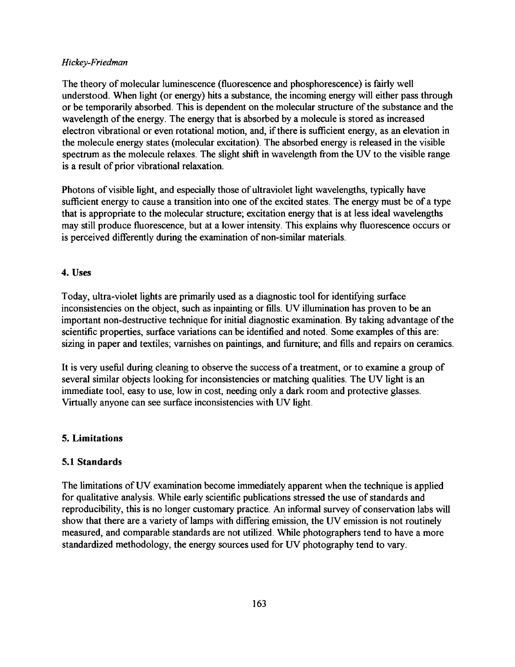The theory of molecular luminescence (fluorescence and phosphorescence) is fairly well understood. When light (or energy) hits a substance, the incoming energy will either pass through or be temporarily absorbed. This is dependent on the molecular structure of the substance and the wavelength of the energy. The energy that is absorbed by a molecule is stored as increased electron vibrational or even rotational motion, and, if there is sufficient energy, as an elevation in the molecule energy states (molecular excitation). The absorbed energy is released in the visible spectrum as the molecule relaxes. The slight shift in wavelength from the UV to the visible range is a result of prior vibrational relaxation.

Photons of visible light, and especially those of ultraviolet light wavelengths, typically have sufficient energy to cause a transition into one of the excited states. The energy must be of a type that is appropriate to the molecular structure; excitation energy that is at less ideal wavelengths may still produce fluorescence, but at a lower intensity. This explains why fluorescence occurs or is perceived differently during the examination of non-similar materials.

## **4. Uses**

Today, ultra-violet lights are primarily used as a diagnostic tool for identifying surface inconsistencies on the object, such as inpainting or fills. UV illumination has proven to be an important non-destructive technique for initial diagnostic examination. By taking advantage of the scientific properties, surface variations can be identified and noted. Some examples of this are: sizing in paper and textiles; varnishes on paintings, and furniture; and fills and repairs on ceramics.

It is very useful during cleaning to observe the success of a treatment, or to examine a group of several similar objects looking for inconsistencies or matching qualities. The UV light is an immediate tool, easy to use, low in cost, needing only a dark room and protective glasses. Virtually anyone can see surface inconsistencies with UV light.

## **5. Limitations**

# **5.1 Standards**

The limitations of UV examination become immediately apparent when the technique is applied for qualitative analysis. While early scientific publications stressed the use of standards and reproducibility, this is no longer customary practice. An informal survey of conservation labs will show that there are a variety of lamps with differing emission, the UV emission is not routinely measured, and comparable standards are not utilized. While photographers tend to have a more standardized methodology, the energy sources used for UV photography tend to vary.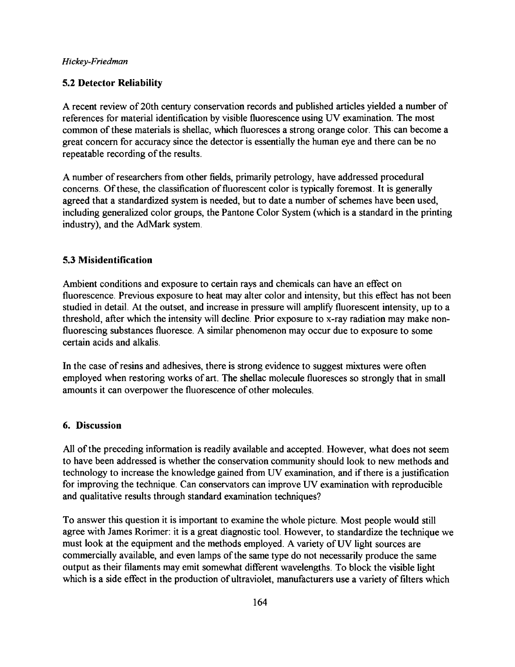## **5.2 Detector Reliability**

A recent review of 20th century conservation records and published articles yielded a number of references for material identification by visible fluorescence using UV examination. The most common of these materials is shellac, which fluoresces a strong orange color. This can become a great concern for accuracy since the detector is essentially the human eye and there can be no repeatable recording of the results.

A number of researchers from other fields, primarily petrology, have addressed procedural concerns. Of these, the classification of fluorescent color is typically foremost. It is generally agreed that a standardized system is needed, but to date a number of schemes have been used, including generalized color groups, the Pantone Color System (which is a standard in the printing industry), and the AdMark system.

#### **5.3 Misidentification**

Ambient conditions and exposure to certain rays and chemicals can have an effect on fluorescence. Previous exposure to heat may alter color and intensity, but this effect has not been studied in detail. At the outset, and increase in pressure will amplify fluorescent intensity, up to a threshold, after which the intensity will decline. Prior exposure to x-ray radiation may make nonfluorescing substances fluoresce. A similar phenomenon may occur due to exposure to some certain acids and alkalis.

In the case of resins and adhesives, there is strong evidence to suggest mixtures were often employed when restoring works of art. The shellac molecule fluoresces so strongly that in small amounts it can overpower the fluorescence of other molecules.

#### **6. Discussion**

All of the preceding information is readily available and accepted. However, what does not seem to have been addressed is whether the conservation community should look to new methods and technology to increase the knowledge gained from UV examination, and if there is a justification for improving the technique. Can conservators can improve UV examination with reproducible and qualitative results through standard examination techniques?

To answer this question it is important to examine the whole picture. Most people would still agree with James Rorimer: it is a great diagnostic tool. However, to standardize the technique we must look at the equipment and the methods employed. A variety of UV light sources are commercially available, and even lamps of the same type do not necessarily produce the same output as their filaments may emit somewhat different wavelengths. To block the visible light which is a side effect in the production of ultraviolet, manufacturers use a variety of filters which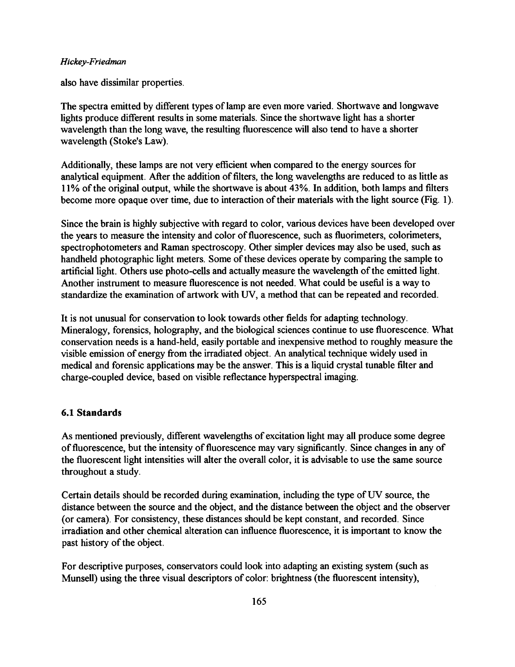also have dissimilar properties.

The spectra emitted by different types of lamp are even more varied. Shortwave and longwave lights produce different results in some materials. Since the shortwave light has a shorter wavelength than the long wave, the resulting fluorescence will also tend to have a shorter wavelength (Stoke's Law).

Additionally, these lamps are not very efficient when compared to the energy sources for analytical equipment. After the addition of filters, the long wavelengths are reduced to as little as 11% of the original output, while the shortwave is about 43%. In addition, both lamps and filters become more opaque over time, due to interaction of their materials with the light source (Fig. 1).

Since the brain is highly subjective with regard to color, various devices have been developed over the years to measure the intensity and color of fluorescence, such as fluorimeters, colorimeters, spectrophotometers and Raman spectroscopy. Other simpler devices may also be used, such as handheld photographic light meters. Some of these devices operate by comparing the sample to artificial light. Others use photo-cells and actually measure the wavelength of the emitted light. Another instrument to measure fluorescence is not needed. What could be useful is a way to standardize the examination of artwork with UV, a method that can be repeated and recorded.

It is not unusual for conservation to look towards other fields for adapting technology. Mineralogy, forensics, holography, and the biological sciences continue to use fluorescence. What conservation needs is a hand-held, easily portable and inexpensive method to roughly measure the visible emission of energy from the irradiated object. An analytical technique widely used in medical and forensic applications may be the answer. This is a liquid crystal tunable filter and charge-coupled device, based on visible reflectance hyperspectral imaging.

## **6.1 Standards**

As mentioned previously, different wavelengths of excitation light may all produce some degree of fluorescence, but the intensity of fluorescence may vary significantly. Since changes in any of the fluorescent light intensities will alter the overall color, it is advisable to use the same source throughout a study.

Certain details should be recorded during examination, including the type of UV source, the distance between the source and the object, and the distance between the object and the observer (or camera). For consistency, these distances should be kept constant, and recorded. Since irradiation and other chemical alteration can influence fluorescence, it is important to know the past history of the object.

For descriptive purposes, conservators could look into adapting an existing system (such as Munsell) using the three visual descriptors of color: brightness (the fluorescent intensity),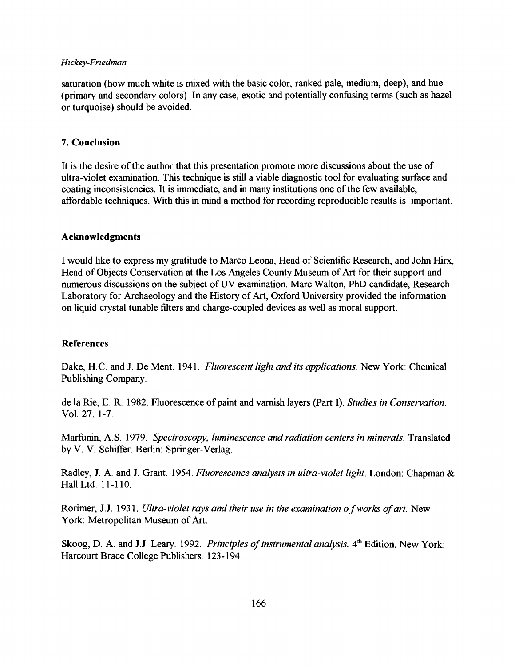saturation (how much white is mixed with the basic color, ranked pale, medium, deep), and hue (primary and secondary colors). In any case, exotic and potentially confusing terms (such as hazel or turquoise) should be avoided.

## **7. Conclusion**

It is the desire of the author that this presentation promote more discussions about the use of ultra-violet examination. This technique is still a viable diagnostic tool for evaluating surface and coating inconsistencies. It is immediate, and in many institutions one of the few available, affordable techniques. With this in mind a method for recording reproducible results is important.

## **Acknowledgments**

I would like to express my gratitude to Marco Leona, Head of Scientific Research, and John Hirx, Head of Objects Conservation at the Los Angeles County Museum of Art for their support and numerous discussions on the subject of UV examination. Marc Walton, PhD candidate, Research Laboratory for Archaeology and the History of Art, Oxford University provided the information on liquid crystal tunable filters and charge-coupled devices as well as moral support.

# **References**

Dake, H.C. and J. De Ment. 1941. *Fluorescent light and its applications.* New York: Chemical Publishing Company.

de la Rie, E. R. 1982. Fluorescence of paint and varnish layers (Part I). *Studies in Conservation.*  Vol. 27. 1-7.

Marfunin, A.S. 1979. *Spectroscopy, luminescence and radiation centers in minerals.* Translated by V. V. Schiffer. Berlin: Springer-Verlag.

Radley, J. A. and J. Grant. 1954. *Fluorescence analysis in ultra-violet light.* London: Chapman & Hall Ltd. 11-110.

Rorimer, J.J. 1931. *Ultra-violet rays and their use in the examination o f works of art.* New York: Metropolitan Museum of Art.

Skoog, D. A. and J.J. Leary. 1992. Principles of instrumental analysis. 4<sup>th</sup> Edition. New York: Harcourt Brace College Publishers. 123-194.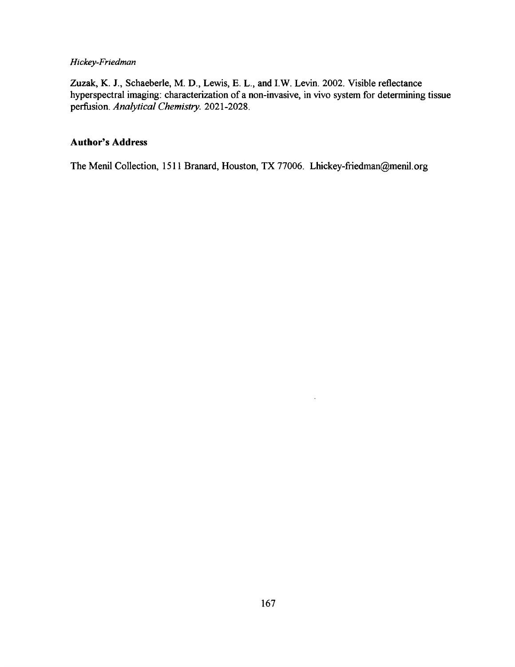Zuzak, K. J., Schaeberle, M. D., Lewis, E. L., and I.W. Levin. 2002. Visible reflectance hyperspectral imaging: characterization of a non-invasive, in vivo system for determining tissue perfusion. *Analytical Chemistry*. 2021-2028.

## Author's Address

The Menil Collection, 1511 Branard, Houston, TX 77006. Lhickey-friedman@menil.org